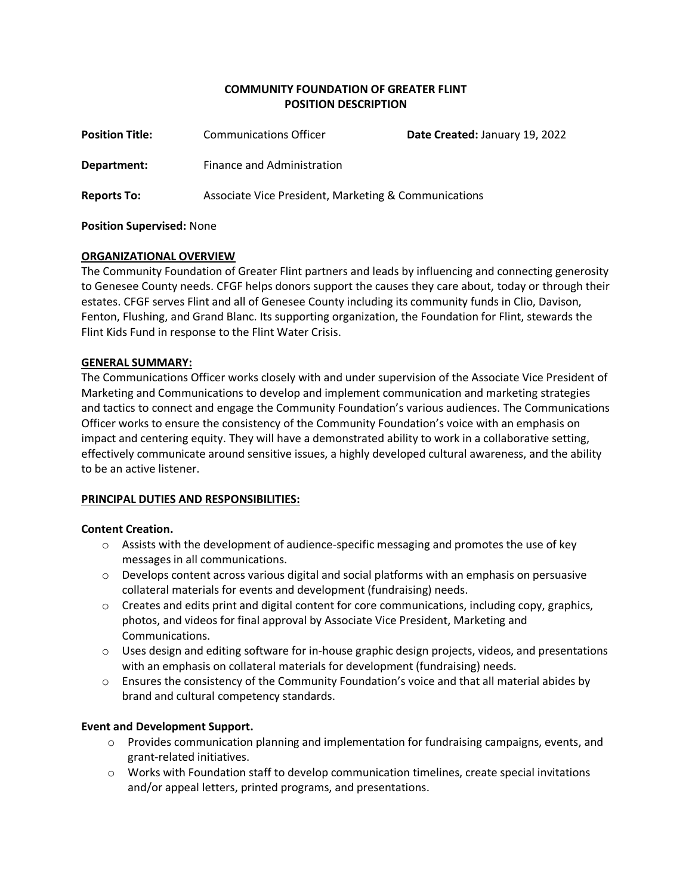## **COMMUNITY FOUNDATION OF GREATER FLINT POSITION DESCRIPTION**

| <b>Position Title:</b> | <b>Communications Officer</b>                        | Date Created: January 19, 2022 |
|------------------------|------------------------------------------------------|--------------------------------|
| Department:            | Finance and Administration                           |                                |
| <b>Reports To:</b>     | Associate Vice President, Marketing & Communications |                                |

### **Position Supervised:** None

## **ORGANIZATIONAL OVERVIEW**

The Community Foundation of Greater Flint partners and leads by influencing and connecting generosity to Genesee County needs. CFGF helps donors support the causes they care about, today or through their estates. CFGF serves Flint and all of Genesee County including its community funds in Clio, Davison, Fenton, Flushing, and Grand Blanc. Its supporting organization, the Foundation for Flint, stewards the Flint Kids Fund in response to the Flint Water Crisis.

## **GENERAL SUMMARY:**

The Communications Officer works closely with and under supervision of the Associate Vice President of Marketing and Communications to develop and implement communication and marketing strategies and tactics to connect and engage the Community Foundation's various audiences. The Communications Officer works to ensure the consistency of the Community Foundation's voice with an emphasis on impact and centering equity. They will have a demonstrated ability to work in a collaborative setting, effectively communicate around sensitive issues, a highly developed cultural awareness, and the ability to be an active listener.

# **PRINCIPAL DUTIES AND RESPONSIBILITIES:**

### **Content Creation.**

- $\circ$  Assists with the development of audience-specific messaging and promotes the use of key messages in all communications.
- $\circ$  Develops content across various digital and social platforms with an emphasis on persuasive collateral materials for events and development (fundraising) needs.
- $\circ$  Creates and edits print and digital content for core communications, including copy, graphics, photos, and videos for final approval by Associate Vice President, Marketing and Communications.
- $\circ$  Uses design and editing software for in-house graphic design projects, videos, and presentations with an emphasis on collateral materials for development (fundraising) needs.
- o Ensures the consistency of the Community Foundation's voice and that all material abides by brand and cultural competency standards.

# **Event and Development Support.**

- $\circ$  Provides communication planning and implementation for fundraising campaigns, events, and grant-related initiatives.
- $\circ$  Works with Foundation staff to develop communication timelines, create special invitations and/or appeal letters, printed programs, and presentations.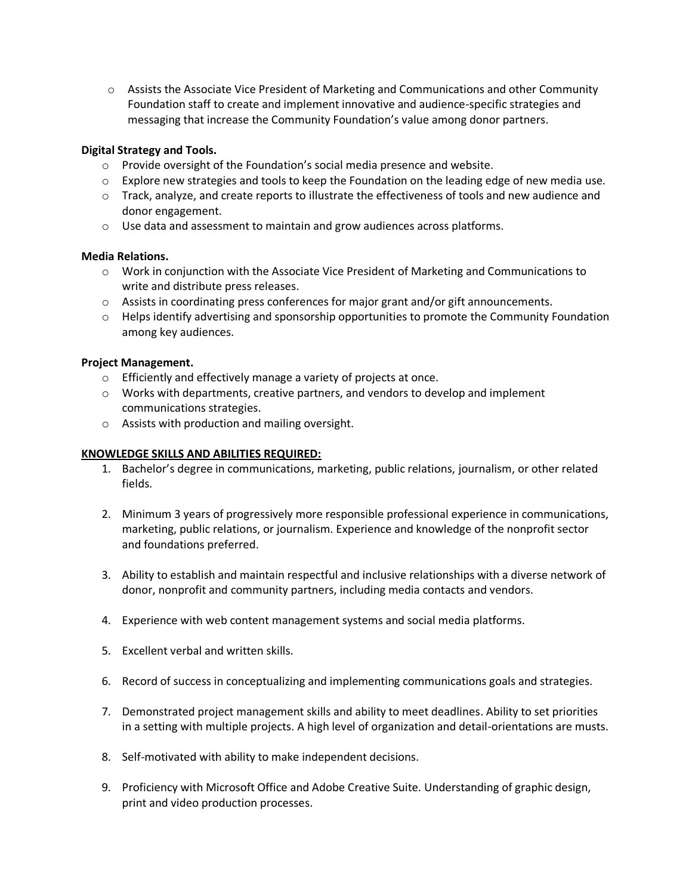o Assists the Associate Vice President of Marketing and Communications and other Community Foundation staff to create and implement innovative and audience-specific strategies and messaging that increase the Community Foundation's value among donor partners.

### **Digital Strategy and Tools.**

- $\circ$  Provide oversight of the Foundation's social media presence and website.
- $\circ$  Explore new strategies and tools to keep the Foundation on the leading edge of new media use.
- o Track, analyze, and create reports to illustrate the effectiveness of tools and new audience and donor engagement.
- $\circ$  Use data and assessment to maintain and grow audiences across platforms.

### **Media Relations.**

- o Work in conjunction with the Associate Vice President of Marketing and Communications to write and distribute press releases.
- $\circ$  Assists in coordinating press conferences for major grant and/or gift announcements.
- $\circ$  Helps identify advertising and sponsorship opportunities to promote the Community Foundation among key audiences.

## **Project Management.**

- o Efficiently and effectively manage a variety of projects at once.
- $\circ$  Works with departments, creative partners, and vendors to develop and implement communications strategies.
- o Assists with production and mailing oversight.

### **KNOWLEDGE SKILLS AND ABILITIES REQUIRED:**

- 1. Bachelor's degree in communications, marketing, public relations, journalism, or other related fields.
- 2. Minimum 3 years of progressively more responsible professional experience in communications, marketing, public relations, or journalism. Experience and knowledge of the nonprofit sector and foundations preferred.
- 3. Ability to establish and maintain respectful and inclusive relationships with a diverse network of donor, nonprofit and community partners, including media contacts and vendors.
- 4. Experience with web content management systems and social media platforms.
- 5. Excellent verbal and written skills.
- 6. Record of success in conceptualizing and implementing communications goals and strategies.
- 7. Demonstrated project management skills and ability to meet deadlines. Ability to set priorities in a setting with multiple projects. A high level of organization and detail-orientations are musts.
- 8. Self-motivated with ability to make independent decisions.
- 9. Proficiency with Microsoft Office and Adobe Creative Suite. Understanding of graphic design, print and video production processes.